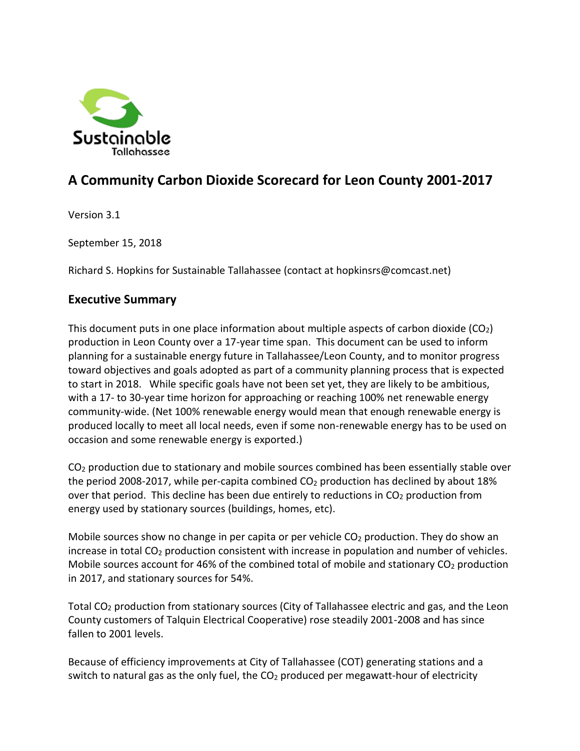

# **A Community Carbon Dioxide Scorecard for Leon County 2001-2017**

Version 3.1

September 15, 2018

Richard S. Hopkins for Sustainable Tallahassee (contact at hopkinsrs@comcast.net)

#### **Executive Summary**

This document puts in one place information about multiple aspects of carbon dioxide  $(CO<sub>2</sub>)$ production in Leon County over a 17-year time span. This document can be used to inform planning for a sustainable energy future in Tallahassee/Leon County, and to monitor progress toward objectives and goals adopted as part of a community planning process that is expected to start in 2018. While specific goals have not been set yet, they are likely to be ambitious, with a 17- to 30-year time horizon for approaching or reaching 100% net renewable energy community-wide. (Net 100% renewable energy would mean that enough renewable energy is produced locally to meet all local needs, even if some non-renewable energy has to be used on occasion and some renewable energy is exported.)

 $CO<sub>2</sub>$  production due to stationary and mobile sources combined has been essentially stable over the period 2008-2017, while per-capita combined  $CO<sub>2</sub>$  production has declined by about 18% over that period. This decline has been due entirely to reductions in  $CO<sub>2</sub>$  production from energy used by stationary sources (buildings, homes, etc).

Mobile sources show no change in per capita or per vehicle CO<sub>2</sub> production. They do show an increase in total  $CO<sub>2</sub>$  production consistent with increase in population and number of vehicles. Mobile sources account for 46% of the combined total of mobile and stationary  $CO<sub>2</sub>$  production in 2017, and stationary sources for 54%.

Total CO<sub>2</sub> production from stationary sources (City of Tallahassee electric and gas, and the Leon County customers of Talquin Electrical Cooperative) rose steadily 2001-2008 and has since fallen to 2001 levels.

Because of efficiency improvements at City of Tallahassee (COT) generating stations and a switch to natural gas as the only fuel, the  $CO<sub>2</sub>$  produced per megawatt-hour of electricity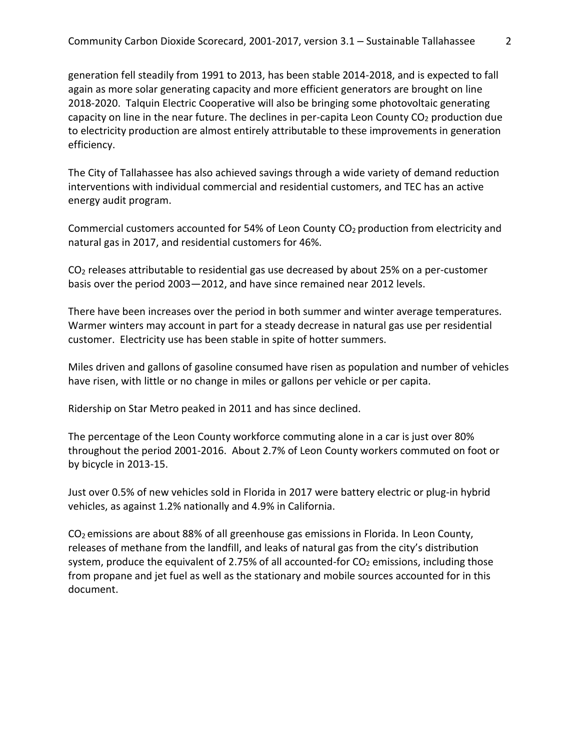generation fell steadily from 1991 to 2013, has been stable 2014-2018, and is expected to fall again as more solar generating capacity and more efficient generators are brought on line 2018-2020. Talquin Electric Cooperative will also be bringing some photovoltaic generating capacity on line in the near future. The declines in per-capita Leon County  $CO<sub>2</sub>$  production due to electricity production are almost entirely attributable to these improvements in generation efficiency.

The City of Tallahassee has also achieved savings through a wide variety of demand reduction interventions with individual commercial and residential customers, and TEC has an active energy audit program.

Commercial customers accounted for 54% of Leon County  $CO<sub>2</sub>$  production from electricity and natural gas in 2017, and residential customers for 46%.

 $CO<sub>2</sub>$  releases attributable to residential gas use decreased by about 25% on a per-customer basis over the period 2003—2012, and have since remained near 2012 levels.

There have been increases over the period in both summer and winter average temperatures. Warmer winters may account in part for a steady decrease in natural gas use per residential customer. Electricity use has been stable in spite of hotter summers.

Miles driven and gallons of gasoline consumed have risen as population and number of vehicles have risen, with little or no change in miles or gallons per vehicle or per capita.

Ridership on Star Metro peaked in 2011 and has since declined.

The percentage of the Leon County workforce commuting alone in a car is just over 80% throughout the period 2001-2016. About 2.7% of Leon County workers commuted on foot or by bicycle in 2013-15.

Just over 0.5% of new vehicles sold in Florida in 2017 were battery electric or plug-in hybrid vehicles, as against 1.2% nationally and 4.9% in California.

CO<sup>2</sup> emissions are about 88% of all greenhouse gas emissions in Florida. In Leon County, releases of methane from the landfill, and leaks of natural gas from the city's distribution system, produce the equivalent of 2.75% of all accounted-for  $CO<sub>2</sub>$  emissions, including those from propane and jet fuel as well as the stationary and mobile sources accounted for in this document.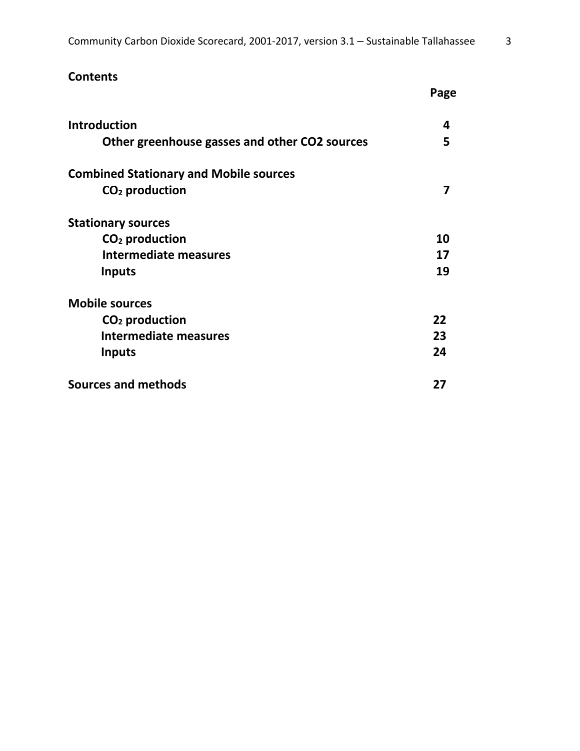|                                               | Page |
|-----------------------------------------------|------|
| <b>Introduction</b>                           | 4    |
| Other greenhouse gasses and other CO2 sources | 5    |
| <b>Combined Stationary and Mobile sources</b> |      |
| $CO2$ production                              | 7    |
| <b>Stationary sources</b>                     |      |
| $CO2$ production                              | 10   |
| Intermediate measures                         | 17   |
| <b>Inputs</b>                                 | 19   |
| <b>Mobile sources</b>                         |      |
| $CO2$ production                              | 22   |
| Intermediate measures                         | 23   |
| Inputs                                        | 24   |
| Sources and methods                           | 27   |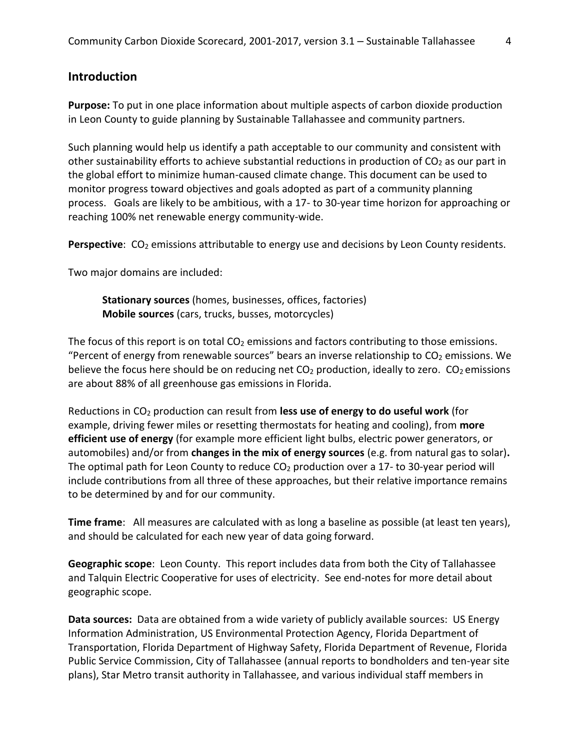#### **Introduction**

**Purpose:** To put in one place information about multiple aspects of carbon dioxide production in Leon County to guide planning by Sustainable Tallahassee and community partners.

Such planning would help us identify a path acceptable to our community and consistent with other sustainability efforts to achieve substantial reductions in production of  $CO<sub>2</sub>$  as our part in the global effort to minimize human-caused climate change. This document can be used to monitor progress toward objectives and goals adopted as part of a community planning process. Goals are likely to be ambitious, with a 17- to 30-year time horizon for approaching or reaching 100% net renewable energy community-wide.

Perspective: CO<sub>2</sub> emissions attributable to energy use and decisions by Leon County residents.

Two major domains are included:

**Stationary sources** (homes, businesses, offices, factories) **Mobile sources** (cars, trucks, busses, motorcycles)

The focus of this report is on total  $CO<sub>2</sub>$  emissions and factors contributing to those emissions. "Percent of energy from renewable sources" bears an inverse relationship to  $CO<sub>2</sub>$  emissions. We believe the focus here should be on reducing net  $CO<sub>2</sub>$  production, ideally to zero.  $CO<sub>2</sub>$  emissions are about 88% of all greenhouse gas emissions in Florida.

Reductions in CO<sup>2</sup> production can result from **less use of energy to do useful work** (for example, driving fewer miles or resetting thermostats for heating and cooling), from **more efficient use of energy** (for example more efficient light bulbs, electric power generators, or automobiles) and/or from **changes in the mix of energy sources** (e.g. from natural gas to solar)**.**  The optimal path for Leon County to reduce  $CO<sub>2</sub>$  production over a 17- to 30-year period will include contributions from all three of these approaches, but their relative importance remains to be determined by and for our community.

**Time frame**: All measures are calculated with as long a baseline as possible (at least ten years), and should be calculated for each new year of data going forward.

**Geographic scope**: Leon County. This report includes data from both the City of Tallahassee and Talquin Electric Cooperative for uses of electricity. See end-notes for more detail about geographic scope.

**Data sources:** Data are obtained from a wide variety of publicly available sources: US Energy Information Administration, US Environmental Protection Agency, Florida Department of Transportation, Florida Department of Highway Safety, Florida Department of Revenue, Florida Public Service Commission, City of Tallahassee (annual reports to bondholders and ten-year site plans), Star Metro transit authority in Tallahassee, and various individual staff members in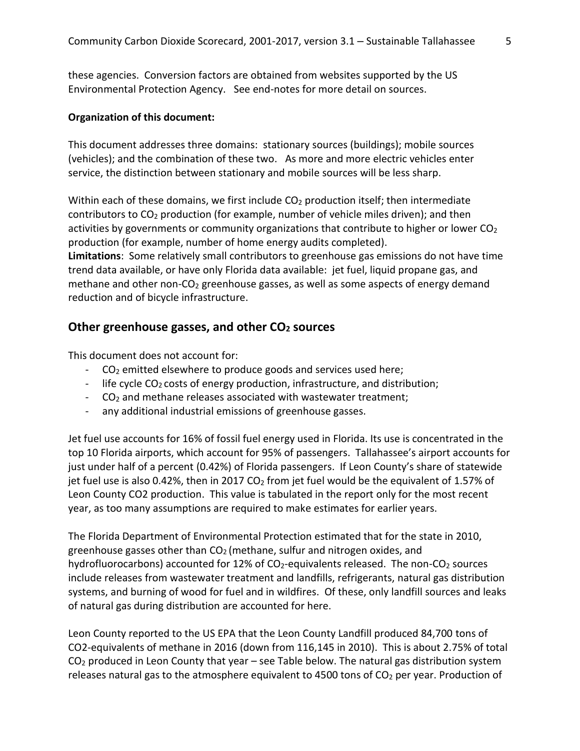these agencies. Conversion factors are obtained from websites supported by the US Environmental Protection Agency. See end-notes for more detail on sources.

#### **Organization of this document:**

This document addresses three domains: stationary sources (buildings); mobile sources (vehicles); and the combination of these two. As more and more electric vehicles enter service, the distinction between stationary and mobile sources will be less sharp.

Within each of these domains, we first include  $CO<sub>2</sub>$  production itself; then intermediate contributors to  $CO<sub>2</sub>$  production (for example, number of vehicle miles driven); and then activities by governments or community organizations that contribute to higher or lower  $CO<sub>2</sub>$ production (for example, number of home energy audits completed). **Limitations**: Some relatively small contributors to greenhouse gas emissions do not have time trend data available, or have only Florida data available: jet fuel, liquid propane gas, and methane and other non- $CO<sub>2</sub>$  greenhouse gasses, as well as some aspects of energy demand reduction and of bicycle infrastructure.

#### **Other greenhouse gasses, and other CO<sup>2</sup> sources**

This document does not account for:

- CO<sup>2</sup> emitted elsewhere to produce goods and services used here;
- life cycle CO<sub>2</sub> costs of energy production, infrastructure, and distribution;
- CO<sup>2</sup> and methane releases associated with wastewater treatment;
- any additional industrial emissions of greenhouse gasses.

Jet fuel use accounts for 16% of fossil fuel energy used in Florida. Its use is concentrated in the top 10 Florida airports, which account for 95% of passengers. Tallahassee's airport accounts for just under half of a percent (0.42%) of Florida passengers. If Leon County's share of statewide jet fuel use is also 0.42%, then in 2017  $CO<sub>2</sub>$  from jet fuel would be the equivalent of 1.57% of Leon County CO2 production. This value is tabulated in the report only for the most recent year, as too many assumptions are required to make estimates for earlier years.

The Florida Department of Environmental Protection estimated that for the state in 2010, greenhouse gasses other than  $CO<sub>2</sub>$  (methane, sulfur and nitrogen oxides, and hydrofluorocarbons) accounted for 12% of  $CO<sub>2</sub>$ -equivalents released. The non-CO<sub>2</sub> sources include releases from wastewater treatment and landfills, refrigerants, natural gas distribution systems, and burning of wood for fuel and in wildfires. Of these, only landfill sources and leaks of natural gas during distribution are accounted for here.

Leon County reported to the US EPA that the Leon County Landfill produced 84,700 tons of CO2-equivalents of methane in 2016 (down from 116,145 in 2010). This is about 2.75% of total CO<sup>2</sup> produced in Leon County that year – see Table below. The natural gas distribution system releases natural gas to the atmosphere equivalent to 4500 tons of  $CO<sub>2</sub>$  per year. Production of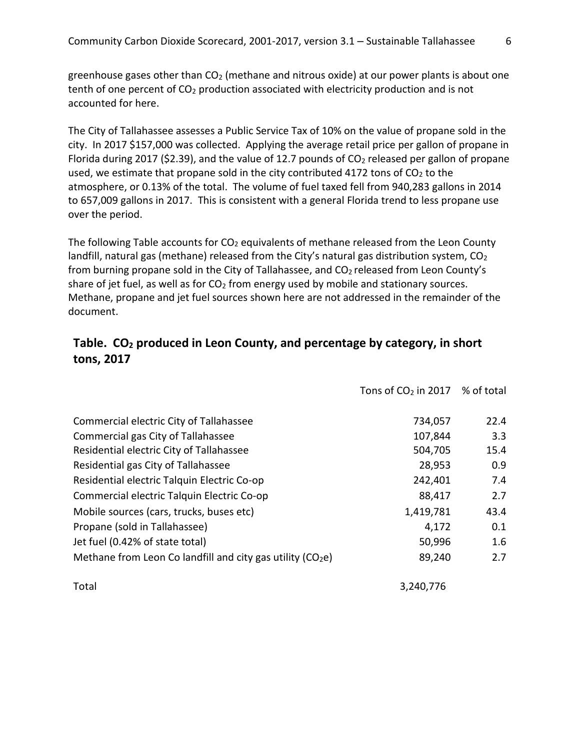greenhouse gases other than  $CO<sub>2</sub>$  (methane and nitrous oxide) at our power plants is about one tenth of one percent of  $CO<sub>2</sub>$  production associated with electricity production and is not accounted for here.

The City of Tallahassee assesses a Public Service Tax of 10% on the value of propane sold in the city. In 2017 \$157,000 was collected. Applying the average retail price per gallon of propane in Florida during 2017 (\$2.39), and the value of 12.7 pounds of  $CO<sub>2</sub>$  released per gallon of propane used, we estimate that propane sold in the city contributed 4172 tons of  $CO<sub>2</sub>$  to the atmosphere, or 0.13% of the total. The volume of fuel taxed fell from 940,283 gallons in 2014 to 657,009 gallons in 2017. This is consistent with a general Florida trend to less propane use over the period.

The following Table accounts for  $CO<sub>2</sub>$  equivalents of methane released from the Leon County landfill, natural gas (methane) released from the City's natural gas distribution system,  $CO<sub>2</sub>$ from burning propane sold in the City of Tallahassee, and CO<sub>2</sub> released from Leon County's share of jet fuel, as well as for  $CO<sub>2</sub>$  from energy used by mobile and stationary sources. Methane, propane and jet fuel sources shown here are not addressed in the remainder of the document.

#### **Table. CO<sup>2</sup> produced in Leon County, and percentage by category, in short tons, 2017**

|                                                                        | Tons of $CO2$ in 2017 % of total |      |
|------------------------------------------------------------------------|----------------------------------|------|
| Commercial electric City of Tallahassee                                | 734,057                          | 22.4 |
| Commercial gas City of Tallahassee                                     | 107,844                          | 3.3  |
| Residential electric City of Tallahassee                               | 504,705                          | 15.4 |
| Residential gas City of Tallahassee                                    | 28,953                           | 0.9  |
| Residential electric Talquin Electric Co-op                            | 242,401                          | 7.4  |
| Commercial electric Talquin Electric Co-op                             | 88,417                           | 2.7  |
| Mobile sources (cars, trucks, buses etc)                               | 1,419,781                        | 43.4 |
| Propane (sold in Tallahassee)                                          | 4,172                            | 0.1  |
| Jet fuel (0.42% of state total)                                        | 50,996                           | 1.6  |
| Methane from Leon Co landfill and city gas utility (CO <sub>2</sub> e) | 89,240                           | 2.7  |
| Total                                                                  | 3,240,776                        |      |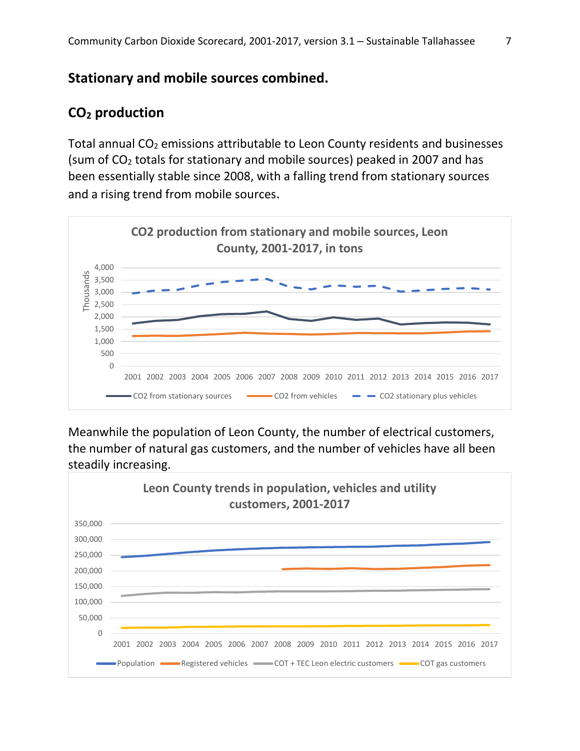### **Stationary and mobile sources combined.**

## **CO<sup>2</sup> production**

Total annual  $CO<sub>2</sub>$  emissions attributable to Leon County residents and businesses (sum of CO<sup>2</sup> totals for stationary and mobile sources) peaked in 2007 and has been essentially stable since 2008, with a falling trend from stationary sources and a rising trend from mobile sources.



Meanwhile the population of Leon County, the number of electrical customers, the number of natural gas customers, and the number of vehicles have all been steadily increasing.

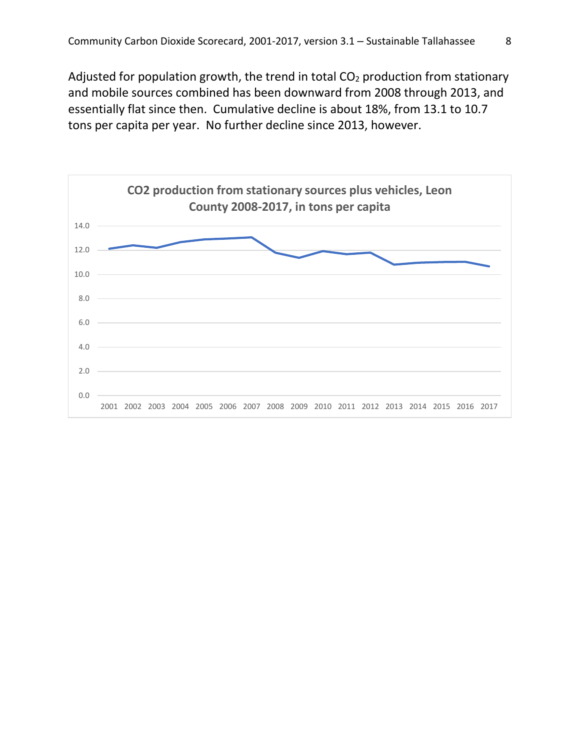Adjusted for population growth, the trend in total CO<sub>2</sub> production from stationary and mobile sources combined has been downward from 2008 through 2013, and essentially flat since then. Cumulative decline is about 18%, from 13.1 to 10.7 tons per capita per year. No further decline since 2013, however.

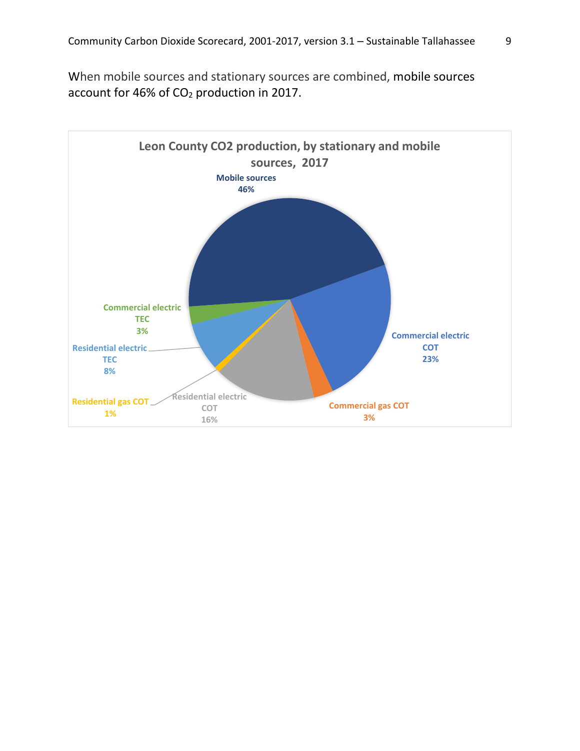When mobile sources and stationary sources are combined, mobile sources account for 46% of CO<sub>2</sub> production in 2017.

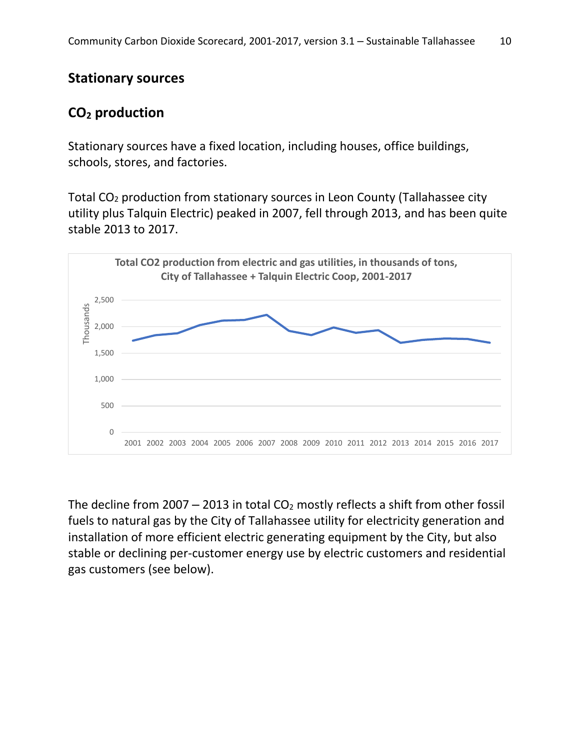#### **Stationary sources**

## **CO<sup>2</sup> production**

Stationary sources have a fixed location, including houses, office buildings, schools, stores, and factories.

Total CO<sup>2</sup> production from stationary sources in Leon County (Tallahassee city utility plus Talquin Electric) peaked in 2007, fell through 2013, and has been quite stable 2013 to 2017.



The decline from 2007 – 2013 in total  $CO<sub>2</sub>$  mostly reflects a shift from other fossil fuels to natural gas by the City of Tallahassee utility for electricity generation and installation of more efficient electric generating equipment by the City, but also stable or declining per-customer energy use by electric customers and residential gas customers (see below).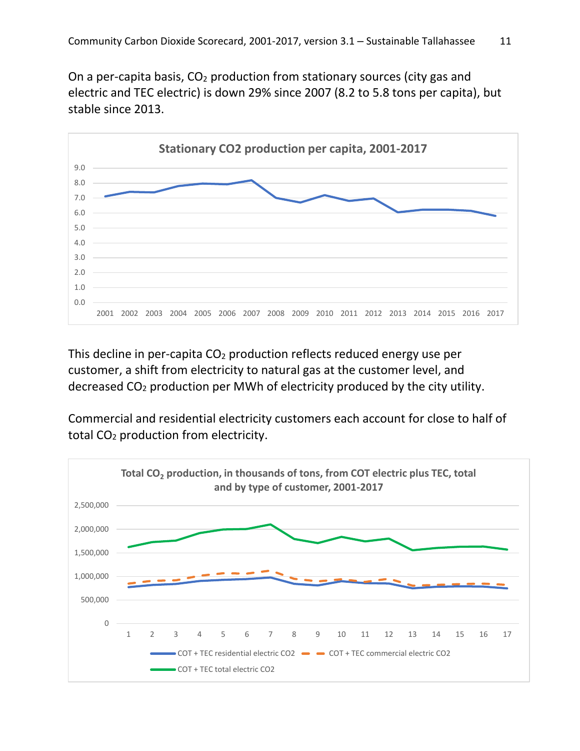On a per-capita basis,  $CO<sub>2</sub>$  production from stationary sources (city gas and electric and TEC electric) is down 29% since 2007 (8.2 to 5.8 tons per capita), but stable since 2013.



This decline in per-capita  $CO<sub>2</sub>$  production reflects reduced energy use per customer, a shift from electricity to natural gas at the customer level, and decreased CO<sup>2</sup> production per MWh of electricity produced by the city utility.

Commercial and residential electricity customers each account for close to half of total CO<sub>2</sub> production from electricity.

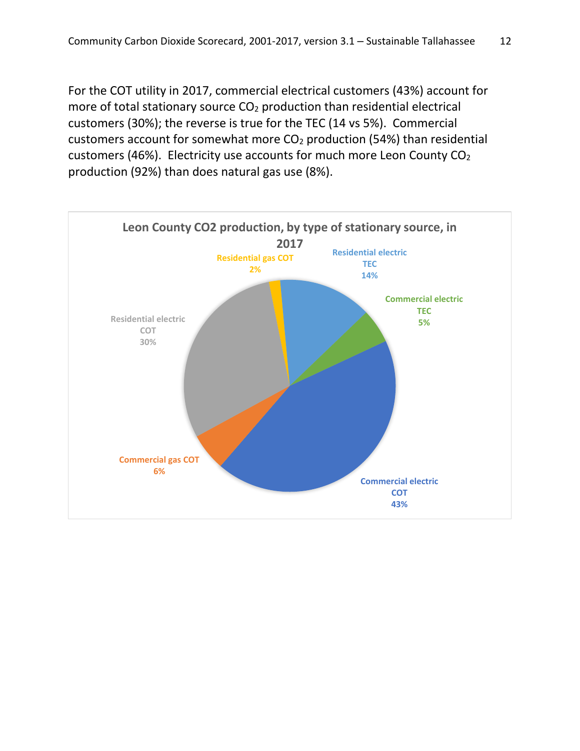For the COT utility in 2017, commercial electrical customers (43%) account for more of total stationary source  $CO<sub>2</sub>$  production than residential electrical customers (30%); the reverse is true for the TEC (14 vs 5%). Commercial customers account for somewhat more  $CO<sub>2</sub>$  production (54%) than residential customers (46%). Electricity use accounts for much more Leon County CO<sub>2</sub> production (92%) than does natural gas use (8%).

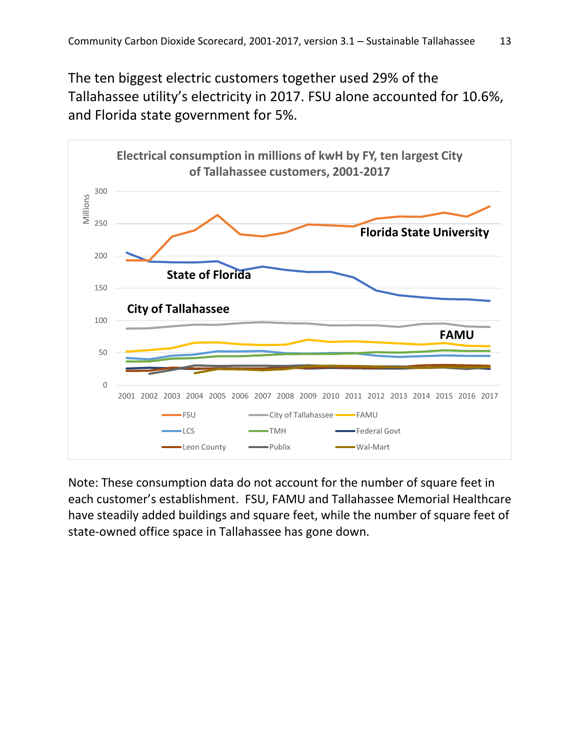The ten biggest electric customers together used 29% of the Tallahassee utility's electricity in 2017. FSU alone accounted for 10.6%, and Florida state government for 5%.



Note: These consumption data do not account for the number of square feet in each customer's establishment. FSU, FAMU and Tallahassee Memorial Healthcare have steadily added buildings and square feet, while the number of square feet of state-owned office space in Tallahassee has gone down.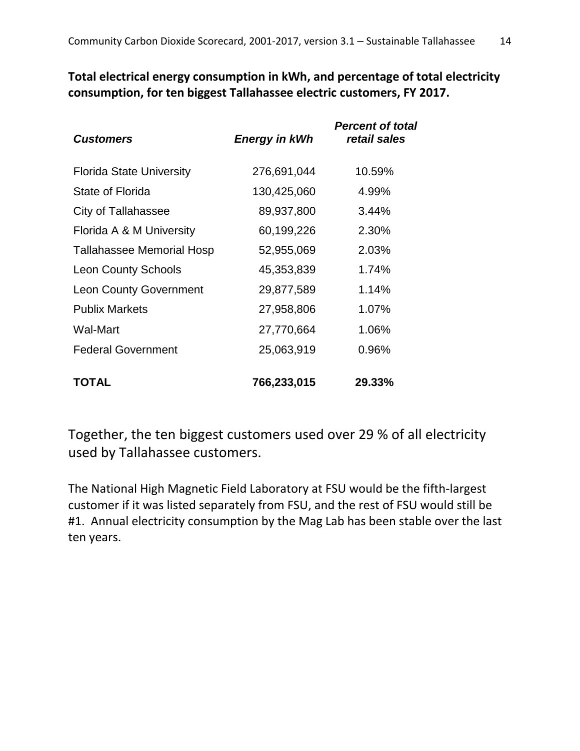**Total electrical energy consumption in kWh, and percentage of total electricity consumption, for ten biggest Tallahassee electric customers, FY 2017.**

| <b>Customers</b>                 | <b>Energy in kWh</b> | <b>Percent of total</b><br>retail sales |
|----------------------------------|----------------------|-----------------------------------------|
| <b>Florida State University</b>  | 276,691,044          | 10.59%                                  |
| State of Florida                 | 130,425,060          | 4.99%                                   |
| City of Tallahassee              | 89,937,800           | 3.44%                                   |
| Florida A & M University         | 60,199,226           | 2.30%                                   |
| <b>Tallahassee Memorial Hosp</b> | 52,955,069           | 2.03%                                   |
| <b>Leon County Schools</b>       | 45,353,839           | 1.74%                                   |
| <b>Leon County Government</b>    | 29,877,589           | 1.14%                                   |
| <b>Publix Markets</b>            | 27,958,806           | 1.07%                                   |
| <b>Wal-Mart</b>                  | 27,770,664           | 1.06%                                   |
| <b>Federal Government</b>        | 25,063,919           | 0.96%                                   |
| TOTAL                            | 766,233,015          | 29.33%                                  |

Together, the ten biggest customers used over 29 % of all electricity used by Tallahassee customers.

The National High Magnetic Field Laboratory at FSU would be the fifth-largest customer if it was listed separately from FSU, and the rest of FSU would still be #1. Annual electricity consumption by the Mag Lab has been stable over the last ten years.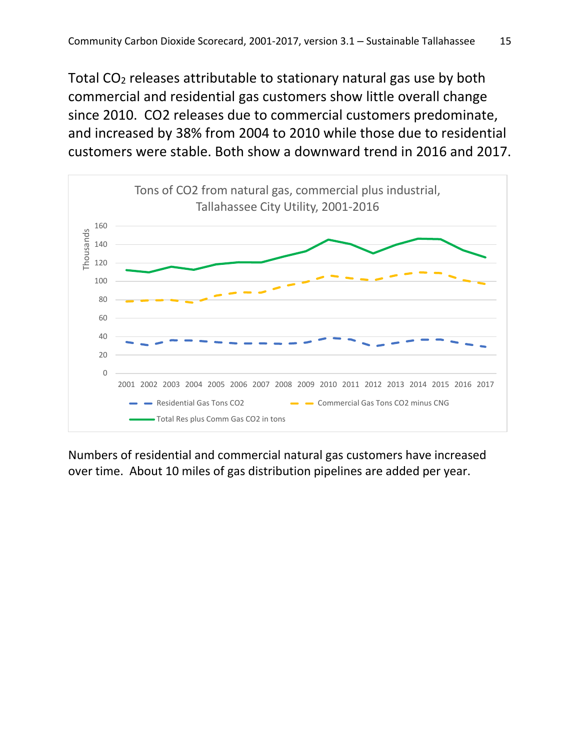Total  $CO<sub>2</sub>$  releases attributable to stationary natural gas use by both commercial and residential gas customers show little overall change since 2010. CO2 releases due to commercial customers predominate, and increased by 38% from 2004 to 2010 while those due to residential customers were stable. Both show a downward trend in 2016 and 2017.



Numbers of residential and commercial natural gas customers have increased over time. About 10 miles of gas distribution pipelines are added per year.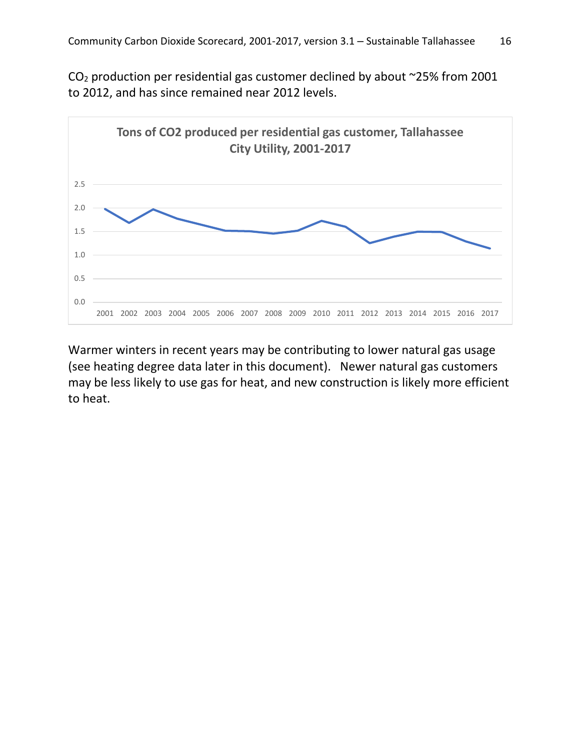CO<sup>2</sup> production per residential gas customer declined by about ~25% from 2001 to 2012, and has since remained near 2012 levels.



Warmer winters in recent years may be contributing to lower natural gas usage (see heating degree data later in this document). Newer natural gas customers may be less likely to use gas for heat, and new construction is likely more efficient to heat.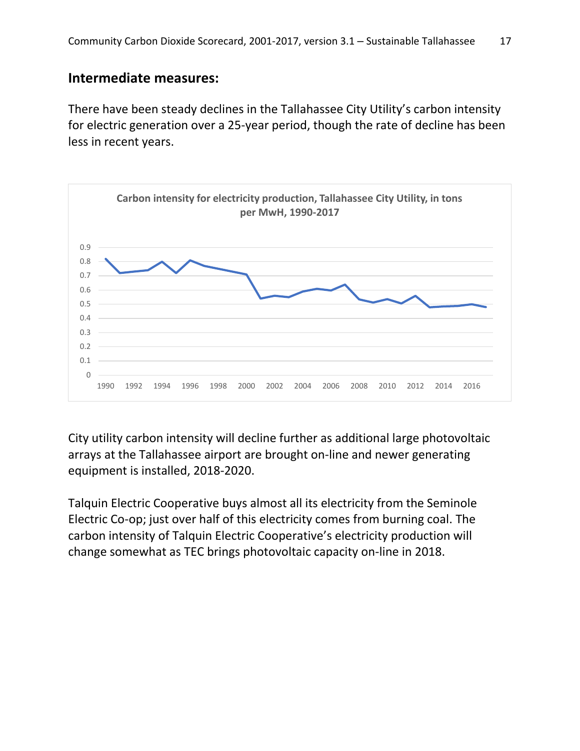#### **Intermediate measures:**

There have been steady declines in the Tallahassee City Utility's carbon intensity for electric generation over a 25-year period, though the rate of decline has been less in recent years.



City utility carbon intensity will decline further as additional large photovoltaic arrays at the Tallahassee airport are brought on-line and newer generating equipment is installed, 2018-2020.

Talquin Electric Cooperative buys almost all its electricity from the Seminole Electric Co-op; just over half of this electricity comes from burning coal. The carbon intensity of Talquin Electric Cooperative's electricity production will change somewhat as TEC brings photovoltaic capacity on-line in 2018.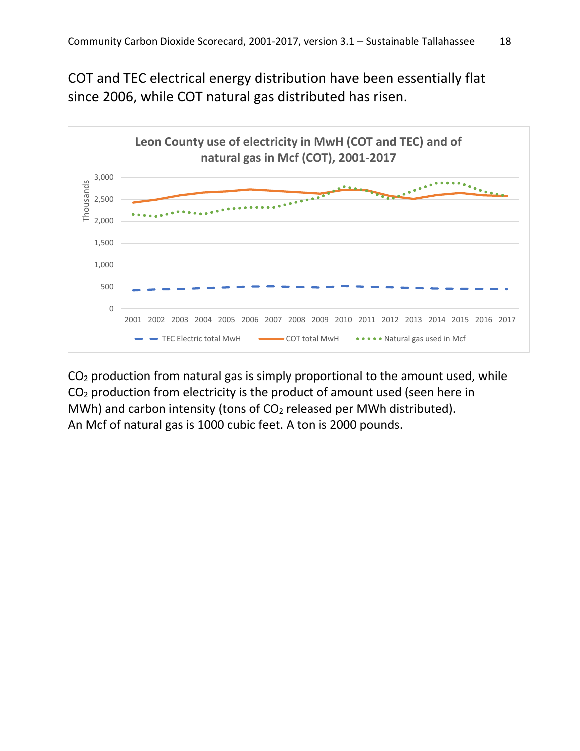COT and TEC electrical energy distribution have been essentially flat since 2006, while COT natural gas distributed has risen.



CO<sup>2</sup> production from natural gas is simply proportional to the amount used, while CO<sup>2</sup> production from electricity is the product of amount used (seen here in MWh) and carbon intensity (tons of  $CO<sub>2</sub>$  released per MWh distributed). An Mcf of natural gas is 1000 cubic feet. A ton is 2000 pounds.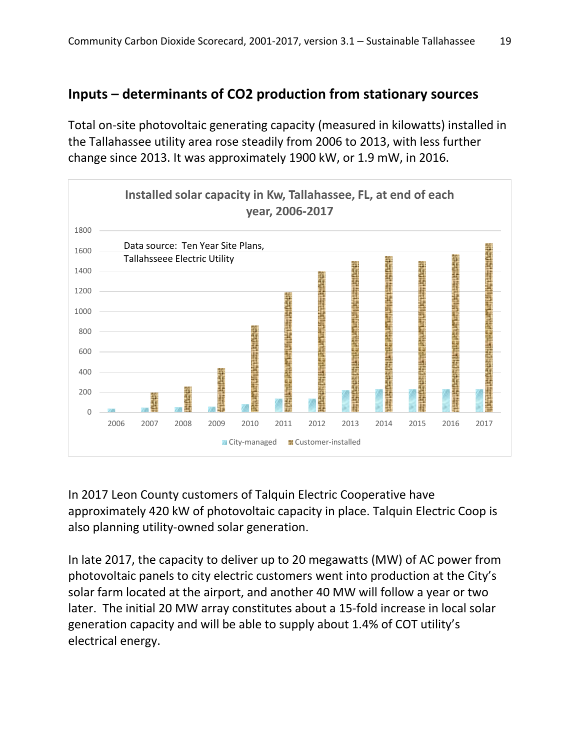## **Inputs – determinants of CO2 production from stationary sources**

Total on-site photovoltaic generating capacity (measured in kilowatts) installed in the Tallahassee utility area rose steadily from 2006 to 2013, with less further change since 2013. It was approximately 1900 kW, or 1.9 mW, in 2016.



In 2017 Leon County customers of Talquin Electric Cooperative have approximately 420 kW of photovoltaic capacity in place. Talquin Electric Coop is also planning utility-owned solar generation.

In late 2017, the capacity to deliver up to 20 megawatts (MW) of AC power from photovoltaic panels to city electric customers went into production at the City's solar farm located at the airport, and another 40 MW will follow a year or two later. The initial 20 MW array constitutes about a 15-fold increase in local solar generation capacity and will be able to supply about 1.4% of COT utility's electrical energy.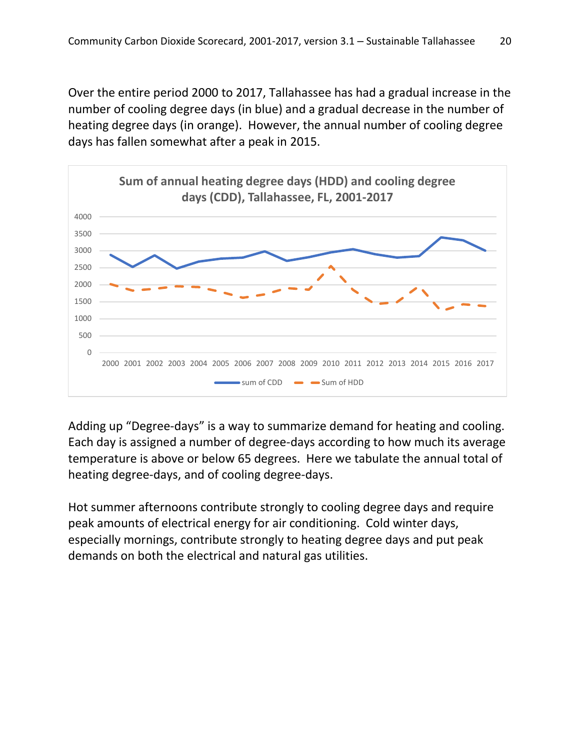Over the entire period 2000 to 2017, Tallahassee has had a gradual increase in the number of cooling degree days (in blue) and a gradual decrease in the number of heating degree days (in orange). However, the annual number of cooling degree days has fallen somewhat after a peak in 2015.



Adding up "Degree-days" is a way to summarize demand for heating and cooling. Each day is assigned a number of degree-days according to how much its average temperature is above or below 65 degrees. Here we tabulate the annual total of heating degree-days, and of cooling degree-days.

Hot summer afternoons contribute strongly to cooling degree days and require peak amounts of electrical energy for air conditioning. Cold winter days, especially mornings, contribute strongly to heating degree days and put peak demands on both the electrical and natural gas utilities.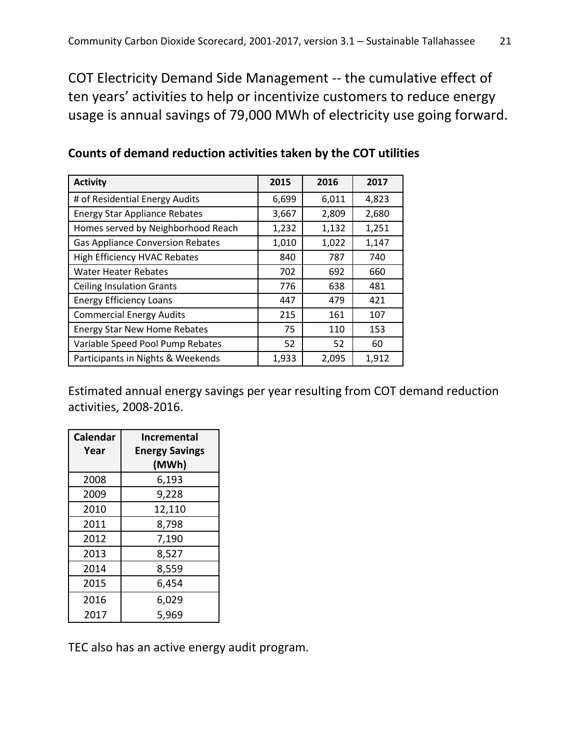COT Electricity Demand Side Management -- the cumulative effect of ten years' activities to help or incentivize customers to reduce energy usage is annual savings of 79,000 MWh of electricity use going forward.

| <b>Activity</b>                         | 2015  | 2016  | 2017  |
|-----------------------------------------|-------|-------|-------|
| # of Residential Energy Audits          | 6,699 | 6,011 | 4,823 |
| <b>Energy Star Appliance Rebates</b>    | 3,667 | 2,809 | 2,680 |
| Homes served by Neighborhood Reach      | 1,232 | 1,132 | 1,251 |
| <b>Gas Appliance Conversion Rebates</b> | 1,010 | 1,022 | 1,147 |
| High Efficiency HVAC Rebates            | 840   | 787   | 740   |
| <b>Water Heater Rebates</b>             | 702   | 692   | 660   |
| <b>Ceiling Insulation Grants</b>        | 776   | 638   | 481   |
| <b>Energy Efficiency Loans</b>          | 447   | 479   | 421   |
| <b>Commercial Energy Audits</b>         | 215   | 161   | 107   |
| <b>Energy Star New Home Rebates</b>     | 75    | 110   | 153   |
| Variable Speed Pool Pump Rebates        | 52    | 52    | 60    |
| Participants in Nights & Weekends       | 1,933 | 2,095 | 1,912 |

**Counts of demand reduction activities taken by the COT utilities**

Estimated annual energy savings per year resulting from COT demand reduction activities, 2008-2016.

| <b>Calendar</b><br>Year | <b>Incremental</b><br><b>Energy Savings</b><br>(MWh) |
|-------------------------|------------------------------------------------------|
| 2008                    | 6,193                                                |
| 2009                    | 9,228                                                |
| 2010                    | 12,110                                               |
| 2011                    | 8,798                                                |
| 2012                    | 7,190                                                |
| 2013                    | 8,527                                                |
| 2014                    | 8,559                                                |
| 2015                    | 6,454                                                |
| 2016                    | 6,029                                                |
| 2017                    | 5,969                                                |

TEC also has an active energy audit program.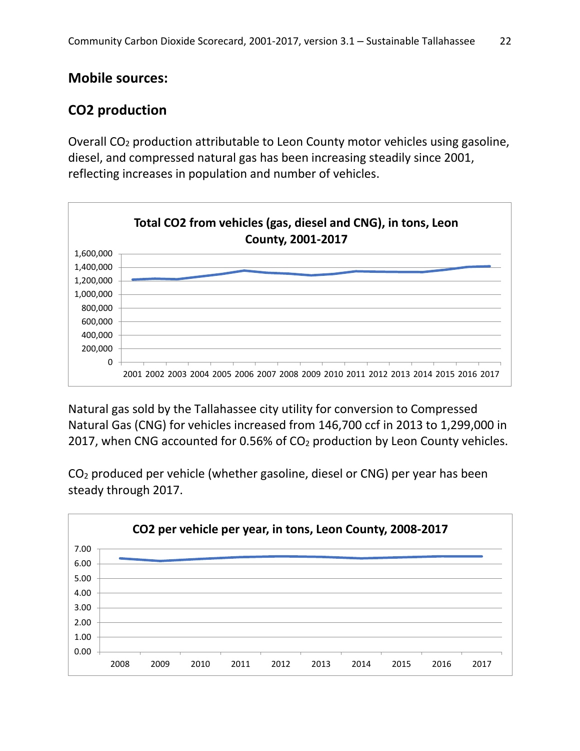## **Mobile sources:**

# **CO2 production**

Overall CO<sup>2</sup> production attributable to Leon County motor vehicles using gasoline, diesel, and compressed natural gas has been increasing steadily since 2001, reflecting increases in population and number of vehicles.



Natural gas sold by the Tallahassee city utility for conversion to Compressed Natural Gas (CNG) for vehicles increased from 146,700 ccf in 2013 to 1,299,000 in 2017, when CNG accounted for 0.56% of  $CO<sub>2</sub>$  production by Leon County vehicles.

CO<sup>2</sup> produced per vehicle (whether gasoline, diesel or CNG) per year has been steady through 2017.

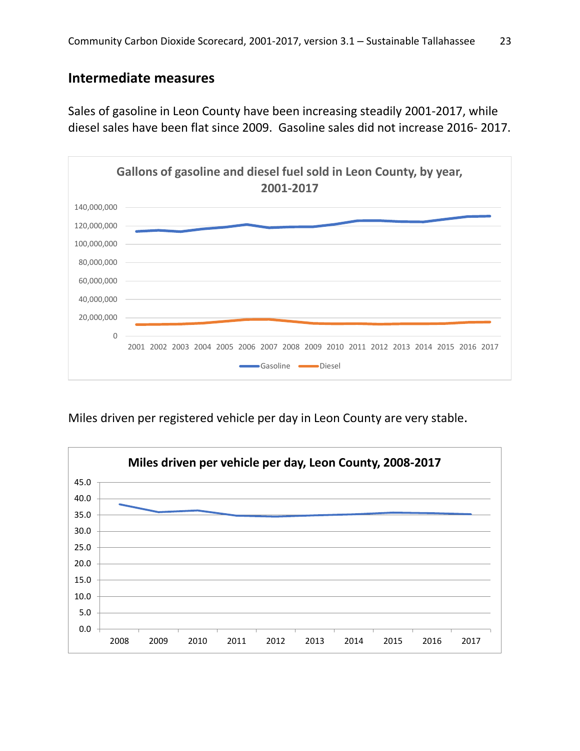## **Intermediate measures**

Sales of gasoline in Leon County have been increasing steadily 2001-2017, while diesel sales have been flat since 2009. Gasoline sales did not increase 2016- 2017.



Miles driven per registered vehicle per day in Leon County are very stable.

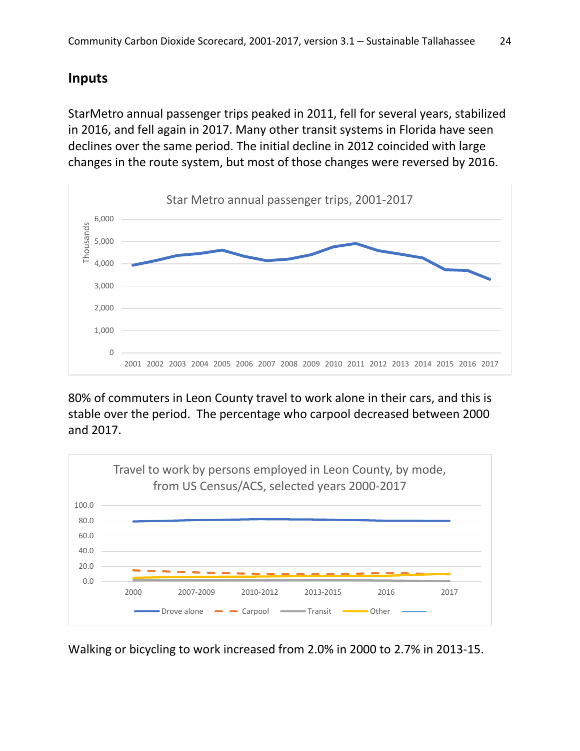## **Inputs**

StarMetro annual passenger trips peaked in 2011, fell for several years, stabilized in 2016, and fell again in 2017. Many other transit systems in Florida have seen declines over the same period. The initial decline in 2012 coincided with large changes in the route system, but most of those changes were reversed by 2016.



80% of commuters in Leon County travel to work alone in their cars, and this is stable over the period. The percentage who carpool decreased between 2000 and 2017.



Walking or bicycling to work increased from 2.0% in 2000 to 2.7% in 2013-15.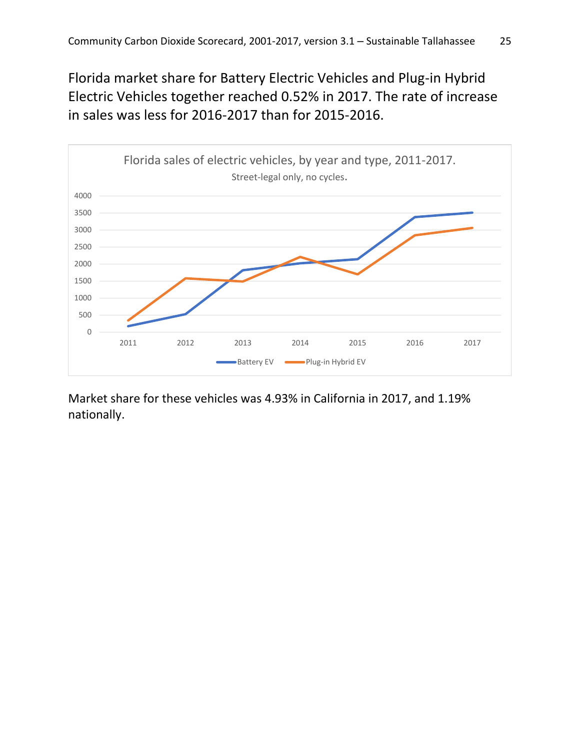Florida market share for Battery Electric Vehicles and Plug-in Hybrid Electric Vehicles together reached 0.52% in 2017. The rate of increase in sales was less for 2016-2017 than for 2015-2016.



Market share for these vehicles was 4.93% in California in 2017, and 1.19% nationally.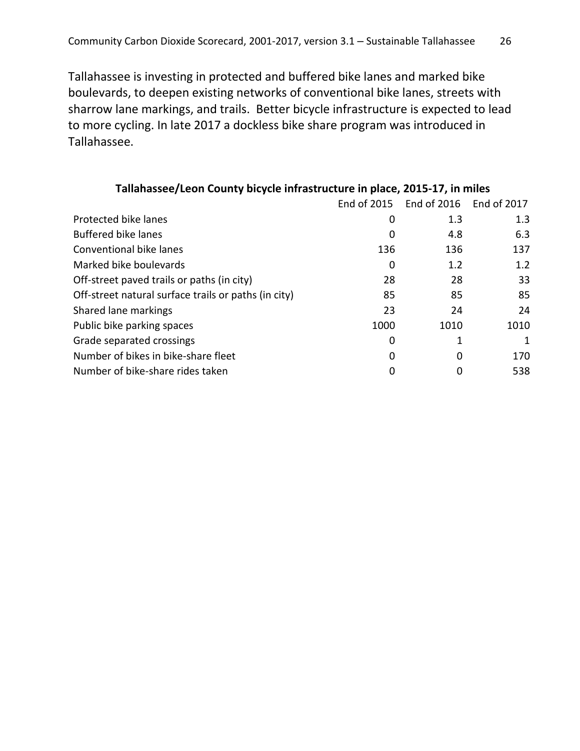Tallahassee is investing in protected and buffered bike lanes and marked bike boulevards, to deepen existing networks of conventional bike lanes, streets with sharrow lane markings, and trails. Better bicycle infrastructure is expected to lead to more cycling. In late 2017 a dockless bike share program was introduced in Tallahassee.

| Tallahassee/Leon County bicycle infrastructure in place, 2015-17, in miles |      |                                           |      |  |
|----------------------------------------------------------------------------|------|-------------------------------------------|------|--|
|                                                                            |      | End of 2015    End of 2016    End of 2017 |      |  |
| Protected bike lanes                                                       | 0    | 1.3                                       | 1.3  |  |
| <b>Buffered bike lanes</b>                                                 | 0    | 4.8                                       | 6.3  |  |
| Conventional bike lanes                                                    | 136  | 136                                       | 137  |  |
| Marked bike boulevards                                                     | 0    | 1.2                                       | 1.2  |  |
| Off-street paved trails or paths (in city)                                 | 28   | 28                                        | 33   |  |
| Off-street natural surface trails or paths (in city)                       | 85   | 85                                        | 85   |  |
| Shared lane markings                                                       | 23   | 24                                        | 24   |  |
| Public bike parking spaces                                                 | 1000 | 1010                                      | 1010 |  |
| Grade separated crossings                                                  | 0    |                                           | 1    |  |
| Number of bikes in bike-share fleet                                        | 0    | 0                                         | 170  |  |
| Number of bike-share rides taken                                           | 0    |                                           | 538  |  |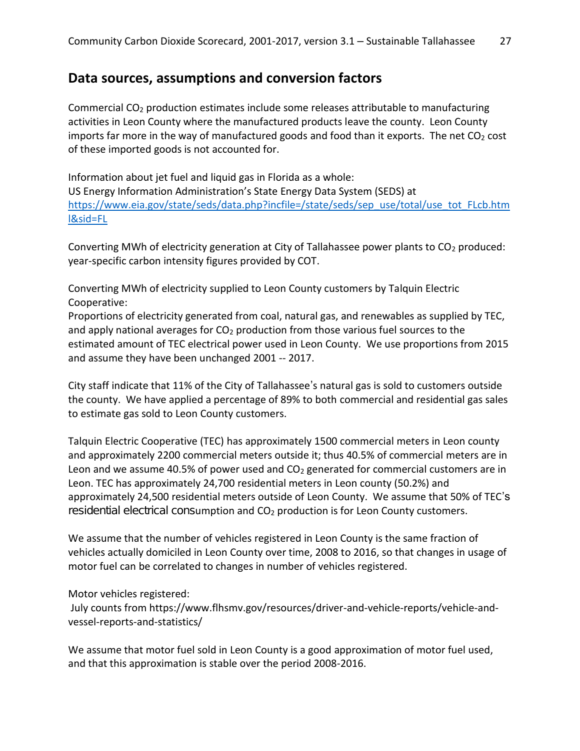### **Data sources, assumptions and conversion factors**

Commercial  $CO<sub>2</sub>$  production estimates include some releases attributable to manufacturing activities in Leon County where the manufactured products leave the county. Leon County imports far more in the way of manufactured goods and food than it exports. The net  $CO<sub>2</sub>$  cost of these imported goods is not accounted for.

Information about jet fuel and liquid gas in Florida as a whole: US Energy Information Administration's State Energy Data System (SEDS) at [https://www.eia.gov/state/seds/data.php?incfile=/state/seds/sep\\_use/total/use\\_tot\\_FLcb.htm](https://www.eia.gov/state/seds/data.php?incfile=/state/seds/sep_use/total/use_tot_FLcb.html&sid=FL) [l&sid=FL](https://www.eia.gov/state/seds/data.php?incfile=/state/seds/sep_use/total/use_tot_FLcb.html&sid=FL)

Converting MWh of electricity generation at City of Tallahassee power plants to  $CO<sub>2</sub>$  produced: year-specific carbon intensity figures provided by COT.

Converting MWh of electricity supplied to Leon County customers by Talquin Electric Cooperative:

Proportions of electricity generated from coal, natural gas, and renewables as supplied by TEC, and apply national averages for  $CO<sub>2</sub>$  production from those various fuel sources to the estimated amount of TEC electrical power used in Leon County. We use proportions from 2015 and assume they have been unchanged 2001 -- 2017.

City staff indicate that 11% of the City of Tallahassee's natural gas is sold to customers outside the county. We have applied a percentage of 89% to both commercial and residential gas sales to estimate gas sold to Leon County customers.

Talquin Electric Cooperative (TEC) has approximately 1500 commercial meters in Leon county and approximately 2200 commercial meters outside it; thus 40.5% of commercial meters are in Leon and we assume 40.5% of power used and  $CO<sub>2</sub>$  generated for commercial customers are in Leon. TEC has approximately 24,700 residential meters in Leon county (50.2%) and approximately 24,500 residential meters outside of Leon County. We assume that 50% of TEC's residential electrical consumption and CO<sub>2</sub> production is for Leon County customers.

We assume that the number of vehicles registered in Leon County is the same fraction of vehicles actually domiciled in Leon County over time, 2008 to 2016, so that changes in usage of motor fuel can be correlated to changes in number of vehicles registered.

#### Motor vehicles registered:

July counts from https://www.flhsmv.gov/resources/driver-and-vehicle-reports/vehicle-andvessel-reports-and-statistics/

We assume that motor fuel sold in Leon County is a good approximation of motor fuel used, and that this approximation is stable over the period 2008-2016.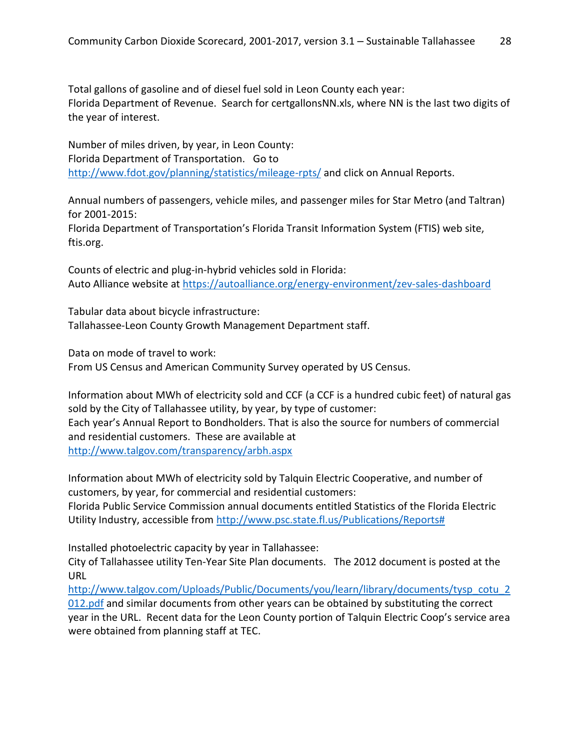Total gallons of gasoline and of diesel fuel sold in Leon County each year: Florida Department of Revenue. Search for certgallonsNN.xls, where NN is the last two digits of the year of interest.

Number of miles driven, by year, in Leon County: Florida Department of Transportation. Go to <http://www.fdot.gov/planning/statistics/mileage-rpts/> and click on Annual Reports.

Annual numbers of passengers, vehicle miles, and passenger miles for Star Metro (and Taltran) for 2001-2015:

Florida Department of Transportation's Florida Transit Information System (FTIS) web site, ftis.org.

Counts of electric and plug-in-hybrid vehicles sold in Florida: Auto Alliance website at <https://autoalliance.org/energy-environment/zev-sales-dashboard>

Tabular data about bicycle infrastructure: Tallahassee-Leon County Growth Management Department staff.

Data on mode of travel to work:

From US Census and American Community Survey operated by US Census.

Information about MWh of electricity sold and CCF (a CCF is a hundred cubic feet) of natural gas sold by the City of Tallahassee utility, by year, by type of customer: Each year's Annual Report to Bondholders. That is also the source for numbers of commercial

and residential customers. These are available at

<http://www.talgov.com/transparency/arbh.aspx>

Information about MWh of electricity sold by Talquin Electric Cooperative, and number of customers, by year, for commercial and residential customers:

Florida Public Service Commission annual documents entitled Statistics of the Florida Electric Utility Industry, accessible from http://www.psc.state.fl.us/Publications/Reports#

Installed photoelectric capacity by year in Tallahassee:

City of Tallahassee utility Ten-Year Site Plan documents. The 2012 document is posted at the URL

[http://www.talgov.com/Uploads/Public/Documents/you/learn/library/documents/tysp\\_cotu\\_2](http://www.talgov.com/Uploads/Public/Documents/you/learn/library/documents/tysp_cotu_2012.pdf) [012.pdf](http://www.talgov.com/Uploads/Public/Documents/you/learn/library/documents/tysp_cotu_2012.pdf) and similar documents from other years can be obtained by substituting the correct year in the URL. Recent data for the Leon County portion of Talquin Electric Coop's service area were obtained from planning staff at TEC.